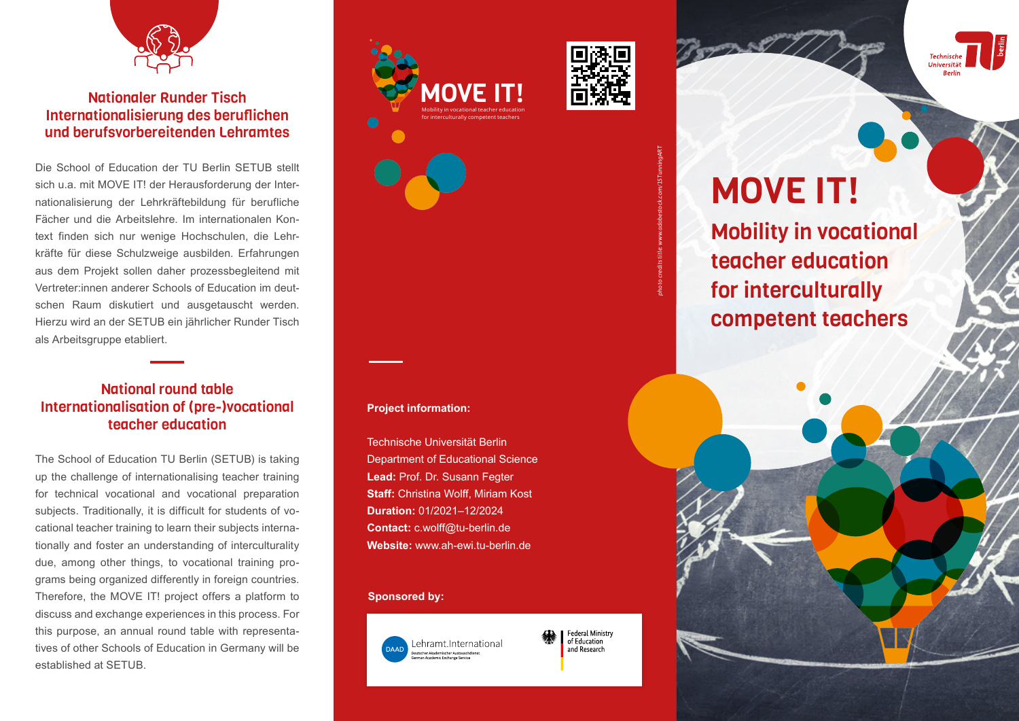

# Nationaler Runder Tisch Internationalisierung des beruflichen und berufsvorbereitenden Lehramtes

Die School of Education der TU Berlin SETUB stellt sich u.a. mit MOVE IT! der Herausforderung der Internationalisierung der Lehrkräftebildung für berufliche Fächer und die Arbeitslehre. Im internationalen Kontext finden sich nur wenige Hochschulen, die Lehrkräfte für diese Schulzweige ausbilden. Erfahrungen aus dem Projekt sollen daher prozessbegleitend mit Vertreter:innen anderer Schools of Education im deutschen Raum diskutiert und ausgetauscht werden. Hierzu wird an der SETUB ein jährlicher Runder Tisch als Arbeitsgruppe etabliert.

## National round table Internationalisation of (pre-)vocational teacher education

The School of Education TU Berlin (SETUB) is taking up the challenge of internationalising teacher training for technical vocational and vocational preparation subjects. Traditionally, it is difficult for students of vocational teacher training to learn their subjects internationally and foster an understanding of interculturality due, among other things, to vocational training programs being organized differently in foreign countries. Therefore, the MOVE IT! project offers a platform to discuss and exchange experiences in this process. For this purpose, an annual round table with representatives of other Schools of Education in Germany will be established at SETUB.







# MOVE IT!

Mobility in vocational teacher education for interculturally competent teachers

#### **Project information:**

Technische Universität Berlin Department of Educational Science **Lead:** Prof. Dr. Susann Fegter **Staff: Christina Wolff, Miriam Kost Duration:** 01/2021–12/2024 **Contact:** c.wolff@tu-berlin.de **Website:** www.ah-ewi.tu-berlin.de

#### **Sponsored by:**



**Federal Ministry** of Education and Research